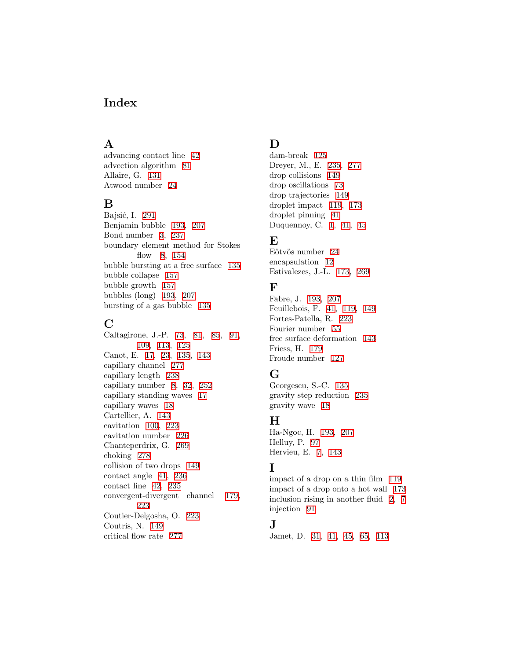### Index

#### A

advancing contact line 42 advection algorithm 81 Allaire, G. 131 Atwood number 24

#### B

Bajsić, I. 291 Benjamin bubble 193, 207 Bond number 3, 237 boundary element method for Stokes flow 8, 154 bubble bursting at a free surface 135 bubble collapse 157 bubble growth 157 bubbles (long) 193, 207 bursting of a gas bubble 135

# $\rm C$

Caltagirone, J.-P. 73, 81, 85, 91, 109, 113, 125 Canot, E. 17, 23, 135, 143 capillary channel 277 capillary length 238 capillary number 8, 32, 252 capillary standing waves 17 capillary waves 18 Cartellier, A. 143 cavitation 100, 223 cavitation number 226 Chanteperdrix, G. 269 choking 278 collision of two drops 149 contact angle 41, 236 contact line 42, 235 convergent-divergent channel 179, 223 Coutier-Delgosha, O. 223 Coutris, N. 149 critical flow rate 277

### D

dam-break 125 Dreyer, M., E. 235, 277 drop collisions 149 drop oscillations 73 drop trajectories 149 droplet impact 119, 173 droplet pinning 41 Duquennoy, C. 1, 41, 45

#### E

Eötvös number 24 encapsulation 12 Estivalezes, J.-L. 173, 269

#### F

Fabre, J. 193, 207 Feuillebois, F. 41, 119, 149 Fortes-Patella, R. 223 Fourier number 55 free surface deformation 143 Friess, H. 179 Froude number 127

## G

Georgescu, S.-C. 135 gravity step reduction 235 gravity wave 18

### $\bf H$

Ha-Ngoc, H. 193, 207 Helluy, P. 97 Hervieu, E. 7, 143

## I

impact of a drop on a thin film 119 impact of a drop onto a hot wall 173 inclusion rising in another fluid 2, 7 injection 91

### J

Jamet, D. 31, 41, 45, 65, 113